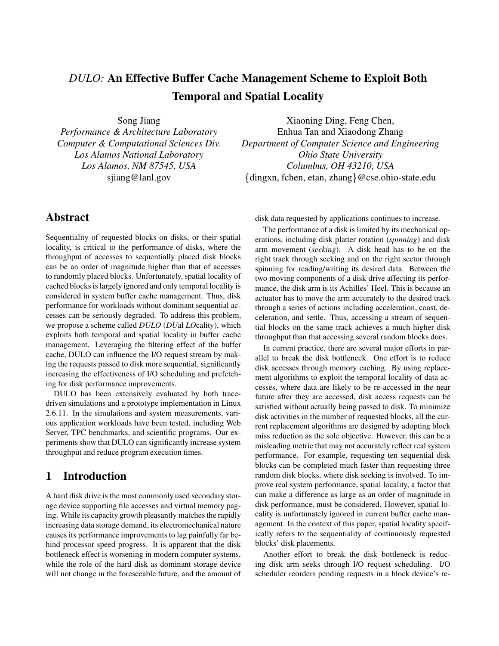# *DULO:* **An Effective Buffer Cache Management Scheme to Exploit Both Temporal and Spatial Locality**

Song Jiang

*Performance & Architecture Laboratory Computer & Computational Sciences Div. Los Alamos National Laboratory Los Alamos, NM 87545, USA* sjiang@lanl.gov

Xiaoning Ding, Feng Chen, Enhua Tan and Xiaodong Zhang *Department of Computer Science and Engineering Ohio State University Columbus, OH 43210, USA*  $\{$ dingxn, fchen, etan, zhang $\}$ @cse.ohio-state.edu

## **Abstract**

Sequentiality of requested blocks on disks, or their spatial locality, is critical to the performance of disks, where the throughput of accesses to sequentially placed disk blocks can be an order of magnitude higher than that of accesses to randomly placed blocks. Unfortunately, spatial locality of cached blocksis largely ignored and only temporal locality is considered in system buffer cache management. Thus, disk performance for workloads without dominant sequential accesses can be seriously degraded. To address this problem, we propose a scheme called *DULO* (*DU*al *LO*cality), which exploits both temporal and spatial locality in buffer cache management. Leveraging the filtering effect of the buffer cache, DULO can influence the I/O request stream by making the requests passed to disk more sequential, significantly increasing the effectiveness of I/O scheduling and prefetching for disk performance improvements.

DULO has been extensively evaluated by both tracedriven simulations and a prototype implementation in Linux 2.6.11. In the simulations and system measurements, various application workloads have been tested, including Web Server, TPC benchmarks, and scientific programs. Our experiments show that DULO can significantly increase system throughput and reduce program execution times.

## **1 Introduction**

A hard disk drive is the most commonly used secondary storage device supporting file accesses and virtual memory paging. While its capacity growth pleasantly matches the rapidly increasing data storage demand, its electromechanical nature causes its performance improvements to lag painfully far behind processor speed progress. It is apparent that the disk bottleneck effect is worsening in modern computer systems, while the role of the hard disk as dominant storage device will not change in the foreseeable future, and the amount of disk data requested by applications continues to increase.

The performance of a disk is limited by its mechanical operations, including disk platter rotation (*spinning*) and disk arm movement (*seeking*). A disk head has to be on the right track through seeking and on the right sector through spinning for reading/writing its desired data. Between the two moving components of a disk drive affecting its performance, the disk arm is its Achilles' Heel. This is because an actuator has to move the arm accurately to the desired track through a series of actions including acceleration, coast, deceleration, and settle. Thus, accessing a stream of sequential blocks on the same track achieves a much higher disk throughput than that accessing several random blocks does.

In current practice, there are several major efforts in parallel to break the disk bottleneck. One effort is to reduce disk accesses through memory caching. By using replacement algorithms to exploit the temporal locality of data accesses, where data are likely to be re-accessed in the near future after they are accessed, disk access requests can be satisfied without actually being passed to disk. To minimize disk activities in the number of requested blocks, all the current replacement algorithms are designed by adopting block miss reduction as the sole objective. However, this can be a misleading metric that may not accurately reflect real system performance. For example, requesting ten sequential disk blocks can be completed much faster than requesting three random disk blocks, where disk seeking is involved. To improve real system performance, spatial locality, a factor that can make a difference as large as an order of magnitude in disk performance, must be considered. However, spatial locality is unfortunately ignored in current buffer cache management. In the context of this paper, spatial locality specifically refers to the sequentiality of continuously requested blocks' disk placements.

Another effort to break the disk bottleneck is reducing disk arm seeks through I/O request scheduling. I/O scheduler reorders pending requests in a block device's re-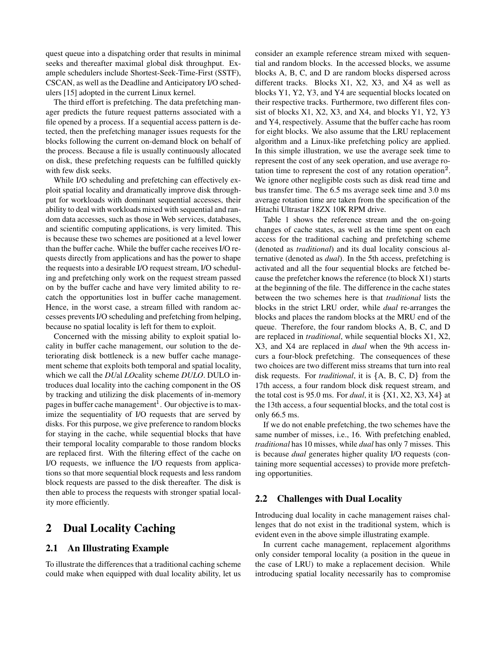quest queue into a dispatching order that results in minimal seeks and thereafter maximal global disk throughput. Example schedulers include Shortest-Seek-Time-First (SSTF), CSCAN, as well as the Deadline and Anticipatory I/O schedulers [15] adopted in the current Linux kernel.

The third effort is prefetching. The data prefetching manager predicts the future request patterns associated with a file opened by a process. If a sequential access pattern is detected, then the prefetching manager issues requests for the blocks following the current on-demand block on behalf of the process. Because a file is usually continuously allocated on disk, these prefetching requests can be fulfilled quickly with few disk seeks.

While I/O scheduling and prefetching can effectively exploit spatial locality and dramatically improve disk throughput for workloads with dominant sequential accesses, their ability to deal with workloads mixed with sequential and random data accesses, such as those in Web services, databases, and scientific computing applications, is very limited. This is because these two schemes are positioned at a level lower than the buffer cache. While the buffer cache receives I/O requests directly from applications and has the power to shape the requests into a desirable I/O request stream, I/O scheduling and prefetching only work on the request stream passed on by the buffer cache and have very limited ability to recatch the opportunities lost in buffer cache management. Hence, in the worst case, a stream filled with random accesses preventsI/O scheduling and prefetching from helping, because no spatial locality is left for them to exploit.

Concerned with the missing ability to exploit spatial locality in buffer cache management, our solution to the deteriorating disk bottleneck is a new buffer cache management scheme that exploits both temporal and spatial locality, which we call the *DU*al *LO*cality scheme *DULO*. DULO introduces dual locality into the caching component in the OS by tracking and utilizing the disk placements of in-memory pages in buffer cache management<sup>1</sup>. Our objective is to maximize the sequentiality of I/O requests that are served by disks. For this purpose, we give preference to random blocks for staying in the cache, while sequential blocks that have their temporal locality comparable to those random blocks are replaced first. With the filtering effect of the cache on I/O requests, we influence the I/O requests from applications so that more sequential block requests and less random block requests are passed to the disk thereafter. The disk is then able to process the requests with stronger spatial locality more efficiently.

## **2 Dual Locality Caching**

### **2.1 An Illustrating Example**

To illustrate the differences that a traditional caching scheme could make when equipped with dual locality ability, let us consider an example reference stream mixed with sequential and random blocks. In the accessed blocks, we assume blocks A, B, C, and D are random blocks dispersed across different tracks. Blocks X1, X2, X3, and X4 as well as blocks Y1, Y2, Y3, and Y4 are sequential blocks located on their respective tracks. Furthermore, two different files consist of blocks X1, X2, X3, and X4, and blocks Y1, Y2, Y3 and Y4, respectively. Assume that the buffer cache has room for eight blocks. We also assume that the LRU replacement algorithm and a Linux-like prefetching policy are applied. In this simple illustration, we use the average seek time to represent the cost of any seek operation, and use average rotation time to represent the cost of any rotation operation<sup>2</sup>. We ignore other negligible costs such as disk read time and bus transfer time. The 6.5 ms average seek time and 3.0 ms average rotation time are taken from the specification of the Hitachi Ultrastar 18ZX 10K RPM drive.

Table 1 shows the reference stream and the on-going changes of cache states, as well as the time spent on each access for the traditional caching and prefetching scheme (denoted as *traditional*) and its dual locality conscious alternative (denoted as *dual*). In the 5th access, prefetching is activated and all the four sequential blocks are fetched because the prefetcher knows the reference (to block X1) starts at the beginning of the file. The difference in the cache states between the two schemes here is that *traditional* lists the blocks in the strict LRU order, while *dual* re-arranges the blocks and places the random blocks at the MRU end of the queue. Therefore, the four random blocks A, B, C, and D are replaced in *traditional*, while sequential blocks X1, X2, X3, and X4 are replaced in *dual* when the 9th access incurs a four-block prefetching. The consequences of these two choices are two different miss streams that turn into real disk requests. For *traditional*, it is  $\{A, B, C, D\}$  from the 17th access, a four random block disk request stream, and the total cost is 95.0 ms. For *dual*, it is  $\{X1, X2, X3, X4\}$  at the 13th access, a four sequential blocks, and the total cost is only 66.5 ms.

If we do not enable prefetching, the two schemes have the same number of misses, i.e., 16. With prefetching enabled, *traditional* has 10 misses, while *dual* has only 7 misses. This is because *dual* generates higher quality I/O requests (containing more sequential accesses) to provide more prefetching opportunities.

### **2.2 Challenges with Dual Locality**

Introducing dual locality in cache management raises challenges that do not exist in the traditional system, which is evident even in the above simple illustrating example.

In current cache management, replacement algorithms only consider temporal locality (a position in the queue in the case of LRU) to make a replacement decision. While introducing spatial locality necessarily has to compromise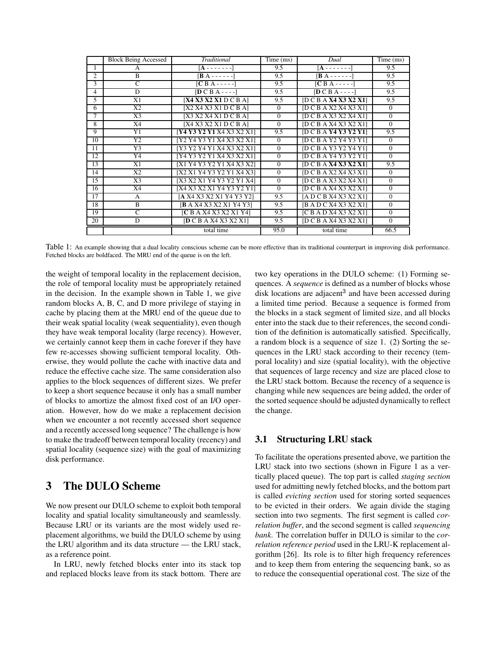|                | <b>Block Being Accessed</b> | Traditional                                      | Time (ms)    | Dual                    | Time (ms)    |
|----------------|-----------------------------|--------------------------------------------------|--------------|-------------------------|--------------|
| 1              | A                           | [A - - - - - - -                                 | 9.5          | [A - - - - - - -        | 9.5          |
| $\mathfrak{D}$ | B                           | $\mathbf{B} \mathbf{A}$ - - - - - - $\mathbf{B}$ | 9.5          | $[B A - - - - -]$       | 9.5          |
| 3              | C                           | $[CBA---]$                                       | 9.5          | $[CBA---]$              | 9.5          |
| 4              | D                           | $[DCBA---]$                                      | 9.5          | $[DCBA---]$             | 9.5          |
| 5              | X1                          | [X4 X3 X2 X1 D C B A]                            | 9.5          | [D C B A X4 X3 X2 X1]   | 9.5          |
| 6              | X <sub>2</sub>              | [X2 X4 X3 X1 D C B A]                            | $\theta$     | [D C B A X2 X4 X3 X1]   | $\theta$     |
| 7              | X <sub>3</sub>              | [X3 X2 X4 X1 D C B A]                            | $\theta$     | [D C B A X3 X2 X4 X1]   | $\Omega$     |
| 8              | X4                          | [X4 X3 X2 X1 D C B A]                            | $\Omega$     | [D C B A X4 X3 X2 X1]   | $\Omega$     |
| 9              | Y1                          | [Y4 Y3 Y2 Y1 X4 X3 X2 X1]                        | 9.5          | [D C B A Y4 Y3 Y2 Y1]   | 9.5          |
| 10             | Y2                          | [Y2 Y4 Y3 Y1 X4 X3 X2 X1]                        | $\mathbf{0}$ | [D C B A Y2 Y4 Y3 Y1]   | $\mathbf{0}$ |
| 11             | Y <sub>3</sub>              | [Y3 Y2 Y4 Y1 X4 X3 X2 X1]                        | $\mathbf{0}$ | [D C B A Y3 Y2 Y4 Y1]   | $\Omega$     |
| 12             | Y4                          | [Y4 Y3 Y2 Y1 X4 X3 X2 X1]                        | $\Omega$     | [D C B A Y4 Y3 Y2 Y1]   | $\theta$     |
| 13             | X1                          | [X1 Y4 Y3 Y2 Y1 X4 X3 X2]                        | $\mathbf{0}$ | [D C B A X4 X3 X2 X1]   | 9.5          |
| 14             | X <sub>2</sub>              | [X2 X1 Y4 Y3 Y2 Y1 X4 X3]                        | $\theta$     | [D C B A X2 X4 X3 X1]   | $\Omega$     |
| 15             | X3                          | [X3 X2 X1 Y4 Y3 Y2 Y1 X4]                        | $\mathbf{0}$ | [D C B A X3 X2 X4 X1]   | $\mathbf{0}$ |
| 16             | X4                          | [X4 X3 X2 X1 Y4 Y3 Y2 Y1]                        | $\mathbf{0}$ | [D C B A X4 X3 X2 X1]   | $\Omega$     |
| 17             | A                           | [A X4 X3 X2 X1 Y4 Y3 Y2]                         | 9.5          | [A D C B X4 X3 X2 X1]   | $\Omega$     |
| 18             | $\overline{B}$              | <b>B</b> A X4 X3 X2 X1 Y4 Y31                    | 9.5          | [B A D C X4 X3 X2 X1]   | $\mathbf{0}$ |
| 19             | C                           | [C B A X4 X3 X2 X1 Y4]                           | 9.5          | [ C B A D X4 X3 X2 X1 ] | $\Omega$     |
| 20             | D                           | [D C B A X4 X3 X2 X1]                            | 9.5          | [D C B A X4 X3 X2 X1]   | $\Omega$     |
|                |                             | total time                                       | 95.0         | total time              | 66.5         |

Table 1: An example showing that a dual locality conscious scheme can be more effective than its traditional counterpart in improving disk performance. Fetched blocks are boldfaced. The MRU end of the queue is on the left.

the weight of temporal locality in the replacement decision, the role of temporal locality must be appropriately retained in the decision. In the example shown in Table 1, we give random blocks A, B, C, and D more privilege of staying in cache by placing them at the MRU end of the queue due to their weak spatial locality (weak sequentiality), even though they have weak temporal locality (large recency). However, we certainly cannot keep them in cache forever if they have few re-accesses showing sufficient temporal locality. Otherwise, they would pollute the cache with inactive data and reduce the effective cache size. The same consideration also applies to the block sequences of different sizes. We prefer to keep a short sequence because it only has a small number of blocks to amortize the almost fixed cost of an I/O operation. However, how do we make a replacement decision when we encounter a not recently accessed short sequence and a recently accessed long sequence? The challenge is how to make the tradeoff between temporal locality (recency) and spatial locality (sequence size) with the goal of maximizing disk performance.

## **3 The DULO Scheme**

We now present our DULO scheme to exploit both temporal locality and spatial locality simultaneously and seamlessly. Because LRU or its variants are the most widely used replacement algorithms, we build the DULO scheme by using the LRU algorithm and its data structure — the LRU stack, as a reference point.

In LRU, newly fetched blocks enter into its stack top and replaced blocks leave from its stack bottom. There are two key operations in the DULO scheme: (1) Forming sequences. A *sequence* is defined as a number of blocks whose disk locations are adjacent<sup>3</sup> and have been accessed during a limited time period. Because a sequence is formed from the blocks in a stack segment of limited size, and all blocks enter into the stack due to their references, the second condition of the definition is automatically satisfied. Specifically, a random block is a sequence of size 1. (2) Sorting the sequences in the LRU stack according to their recency (temporal locality) and size (spatial locality), with the objective that sequences of large recency and size are placed close to the LRU stack bottom. Because the recency of a sequence is changing while new sequences are being added, the order of the sorted sequence should be adjusted dynamically to reflect the change.

### **3.1 Structuring LRU stack**

To facilitate the operations presented above, we partition the LRU stack into two sections (shown in Figure 1 as a vertically placed queue). The top part is called *staging section* used for admitting newly fetched blocks, and the bottom part is called *evicting section* used for storing sorted sequences to be evicted in their orders. We again divide the staging section into two segments. The first segment is called *correlation buffer*, and the second segment is called *sequencing bank*. The correlation buffer in DULO is similar to the *correlation reference period* used in the LRU-K replacement algorithm [26]. Its role is to filter high frequency references and to keep them from entering the sequencing bank, so as to reduce the consequential operational cost. The size of the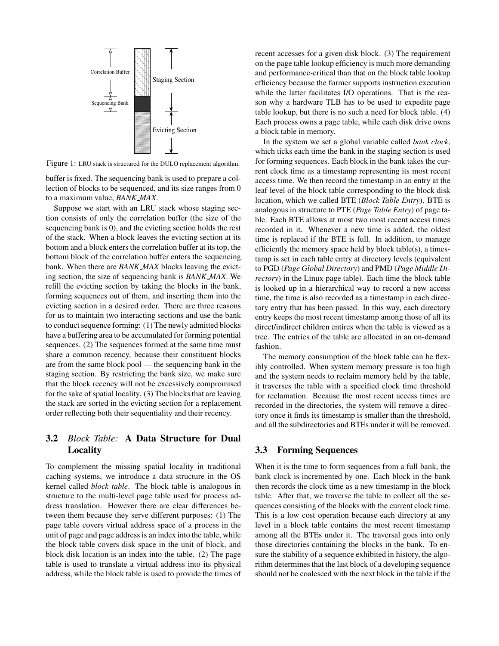

Figure 1: LRU stack is structured for the DULO replacement algorithm.

buffer is fixed. The sequencing bank is used to prepare a collection of blocks to be sequenced, and its size ranges from 0 to a maximum value, *BANK MAX*.

Suppose we start with an LRU stack whose staging section consists of only the correlation buffer (the size of the sequencing bank is 0), and the evicting section holds the rest of the stack. When a block leaves the evicting section at its bottom and a block enters the correlation buffer at its top, the bottom block of the correlation buffer enters the sequencing bank. When there are *BANK MAX* blocks leaving the evicting section, the size of sequencing bank is *BANK MAX*. We refill the evicting section by taking the blocks in the bank, forming sequences out of them, and inserting them into the evicting section in a desired order. There are three reasons for us to maintain two interacting sections and use the bank to conduct sequence forming: (1) The newly admitted blocks have a buffering area to be accumulated for forming potential sequences. (2) The sequences formed at the same time must share a common recency, because their constituent blocks are from the same block pool — the sequencing bank in the staging section. By restricting the bank size, we make sure that the block recency will not be excessively compromised for the sake of spatial locality. (3) The blocks that are leaving the stack are sorted in the evicting section for a replacement order reflecting both their sequentiality and their recency.

### **3.2** *Block Table:* **A Data Structure for Dual Locality**

To complement the missing spatial locality in traditional caching systems, we introduce a data structure in the OS kernel called *block table*. The block table is analogous in structure to the multi-level page table used for process address translation. However there are clear differences between them because they serve different purposes: (1) The page table covers virtual address space of a process in the unit of page and page address is an index into the table, while the block table covers disk space in the unit of block, and block disk location is an index into the table. (2) The page table is used to translate a virtual address into its physical address, while the block table is used to provide the times of recent accesses for a given disk block. (3) The requirement on the page table lookup efficiency is much more demanding and performance-critical than that on the block table lookup efficiency because the former supports instruction execution while the latter facilitates I/O operations. That is the reason why a hardware TLB has to be used to expedite page table lookup, but there is no such a need for block table. (4) Each process owns a page table, while each disk drive owns a block table in memory.

In the system we set a global variable called *bank clock*, which ticks each time the bank in the staging section is used for forming sequences. Each block in the bank takes the current clock time as a timestamp representing its most recent access time. We then record the timestamp in an entry at the leaf level of the block table corresponding to the block disk location, which we called BTE (*Block Table Entry*). BTE is analogous in structure to PTE (*Page Table Entry*) of page table. Each BTE allows at most two most recent access times recorded in it. Whenever a new time is added, the oldest time is replaced if the BTE is full. In addition, to manage efficiently the memory space held by block table(s), a timestamp is set in each table entry at directory levels (equivalent to PGD (*Page Global Directory*) and PMD (*Page Middle Directory*) in the Linux page table). Each time the block table is looked up in a hierarchical way to record a new access time, the time is also recorded as a timestamp in each directory entry that has been passed. In this way, each directory entry keeps the most recent timestamp among those of all its direct/indirect children entires when the table is viewed as a tree. The entries of the table are allocated in an on-demand fashion.

The memory consumption of the block table can be flexibly controlled. When system memory pressure is too high and the system needs to reclaim memory held by the table, it traverses the table with a specified clock time threshold for reclamation. Because the most recent access times are recorded in the directories, the system will remove a directory once it finds its timestamp is smaller than the threshold, and all the subdirectories and BTEs under it will be removed.

### **3.3 Forming Sequences**

When it is the time to form sequences from a full bank, the bank clock is incremented by one. Each block in the bank then records the clock time as a new timestamp in the block table. After that, we traverse the table to collect all the sequences consisting of the blocks with the current clock time. This is a low cost operation because each directory at any level in a block table contains the most recent timestamp among all the BTEs under it. The traversal goes into only those directories containing the blocks in the bank. To ensure the stability of a sequence exhibited in history, the algorithm determines that the last block of a developing sequence should not be coalesced with the next block in the table if the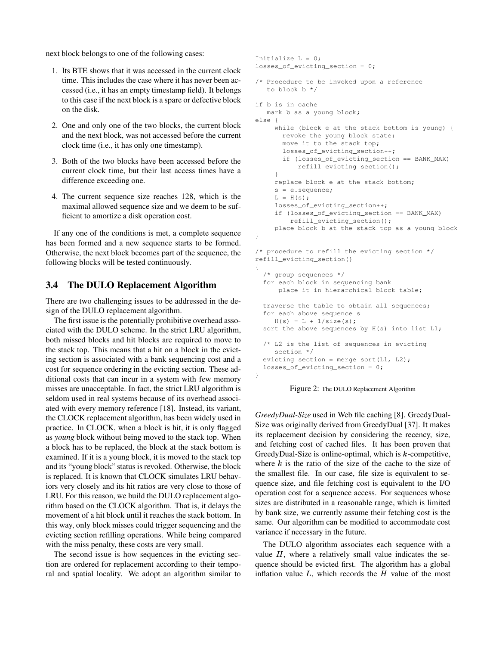next block belongs to one of the following cases:

- 1. Its BTE shows that it was accessed in the current clock time. This includes the case where it has never been accessed (i.e., it has an empty timestamp field). It belongs to this case if the next block is a spare or defective block on the disk.
- 2. One and only one of the two blocks, the current block and the next block, was not accessed before the current clock time (i.e., it has only one timestamp).
- 3. Both of the two blocks have been accessed before the current clock time, but their last access times have a difference exceeding one.
- 4. The current sequence size reaches 128, which is the maximal allowed sequence size and we deem to be sufficient to amortize a disk operation cost.

If any one of the conditions is met, a complete sequence has been formed and a new sequence starts to be formed. Otherwise, the next block becomes part of the sequence, the following blocks will be tested continuously.

### **3.4 The DULO Replacement Algorithm**

There are two challenging issues to be addressed in the design of the DULO replacement algorithm.

The first issue is the potentially prohibitive overhead associated with the DULO scheme. In the strict LRU algorithm, both missed blocks and hit blocks are required to move to the stack top. This means that a hit on a block in the evicting section is associated with a bank sequencing cost and a cost for sequence ordering in the evicting section. These additional costs that can incur in a system with few memory misses are unacceptable. In fact, the strict LRU algorithm is seldom used in real systems because of its overhead associated with every memory reference [18]. Instead, its variant, the CLOCK replacement algorithm, has been widely used in practice. In CLOCK, when a block is hit, it is only flagged as *young* block without being moved to the stack top. When a block has to be replaced, the block at the stack bottom is examined. If it is a young block, it is moved to the stack top and its "young block" status is revoked. Otherwise, the block is replaced. It is known that CLOCK simulates LRU behaviors very closely and its hit ratios are very close to those of LRU. For this reason, we build the DULO replacement algorithm based on the CLOCK algorithm. That is, it delays the movement of a hit block until it reaches the stack bottom. In this way, only block misses could trigger sequencing and the evicting section refilling operations. While being compared with the miss penalty, these costs are very small.

The second issue is how sequences in the evicting section are ordered for replacement according to their temporal and spatial locality. We adopt an algorithm similar to

```
Initialize L = 0;
losses_of_evicting_section = 0;
/* Procedure to be invoked upon a reference
   to block b */
if b is in cache
  mark b as a young block;
else {
     while (block e at the stack bottom is young) {
      revoke the young block state;
       move it to the stack top;
       losses of evicting section++;
       if (losses_of_evicting_section == BANK_MAX)
           refill_evicting_section();
     }
     replace block e at the stack bottom;
     s = e.sequence;
     L = H(s);losses_of_evicting_section++;
     if (losses_of_evicting_section == BANK_MAX)
         refill_evicting_section();
     place block b at the stack top as a young block
}
/* procedure to refill the evicting section */
refill_evicting_section()
{
  /* group sequences */
  for each block in sequencing bank
      place it in hierarchical block table;
  traverse the table to obtain all sequences;
  for each above sequence s
    H(s) = L + 1/size(s);sort the above sequences by H(s) into list L1;
  /* L2 is the list of sequences in evicting
     section */
  evicting_section = merge_sort(L1, L2);
  losses_of_evicting_section = 0;
}
```
Figure 2: The DULO Replacement Algorithm

*GreedyDual-Size* used in Web file caching [8]. GreedyDual-Size was originally derived from GreedyDual [37]. It makes its replacement decision by considering the recency, size, and fetching cost of cached files. It has been proven that GreedyDual-Size is online-optimal, which is  $k$ -competitive, where  $k$  is the ratio of the size of the cache to the size of the smallest file. In our case, file size is equivalent to sequence size, and file fetching cost is equivalent to the I/O operation cost for a sequence access. For sequences whose sizes are distributed in a reasonable range, which is limited by bank size, we currently assume their fetching cost is the same. Our algorithm can be modified to accommodate cost variance if necessary in the future.

The DULO algorithm associates each sequence with a value  $H$ , where a relatively small value indicates the sequence should be evicted first. The algorithm has a global inflation value  $L$ , which records the  $H$  value of the most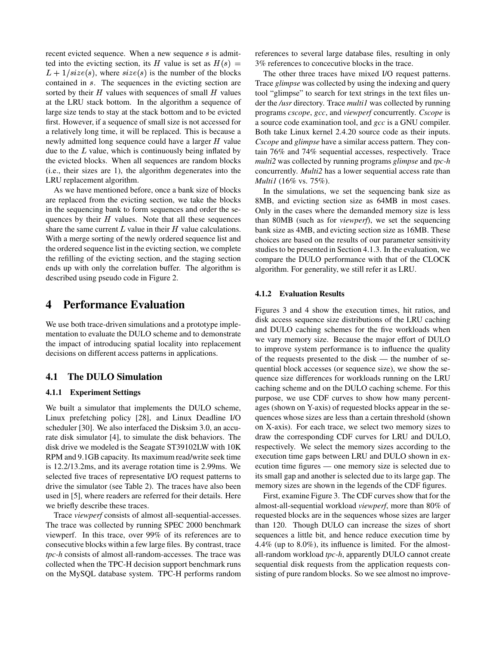recent evicted sequence. When a new sequence  $s$  is admitted into the evicting section, its H value is set as  $H(s)$  =  $L + 1/size(s)$ , where  $size(s)$  is the number of the blocks contained in s. The sequences in the evicting section are sorted by their  $H$  values with sequences of small  $H$  values at the LRU stack bottom. In the algorithm a sequence of large size tends to stay at the stack bottom and to be evicted first. However, if a sequence of small size is not accessed for a relatively long time, it will be replaced. This is because a newly admitted long sequence could have a larger  $H$  value due to the  $L$  value, which is continuously being inflated by the evicted blocks. When all sequences are random blocks (i.e., their sizes are 1), the algorithm degenerates into the LRU replacement algorithm.

As we have mentioned before, once a bank size of blocks are replaced from the evicting section, we take the blocks in the sequencing bank to form sequences and order the sequences by their  $H$  values. Note that all these sequences share the same current  $L$  value in their  $H$  value calculations. With a merge sorting of the newly ordered sequence list and the ordered sequence list in the evicting section, we complete the refilling of the evicting section, and the staging section ends up with only the correlation buffer. The algorithm is described using pseudo code in Figure 2.

## **4 Performance Evaluation**

We use both trace-driven simulations and a prototype implementation to evaluate the DULO scheme and to demonstrate the impact of introducing spatial locality into replacement decisions on different access patterns in applications.

### **4.1 The DULO Simulation**

### **4.1.1 Experiment Settings**

We built a simulator that implements the DULO scheme, Linux prefetching policy [28], and Linux Deadline I/O scheduler [30]. We also interfaced the Disksim 3.0, an accurate disk simulator [4], to simulate the disk behaviors. The disk drive we modeled is the Seagate ST39102LW with 10K RPM and 9.1GB capacity. Its maximum read/write seek time is 12.2/13.2ms, and its average rotation time is 2.99ms. We selected five traces of representative I/O request patterns to drive the simulator (see Table 2). The traces have also been used in [5], where readers are referred for their details. Here we briefly describe these traces.

Trace *viewperf* consists of almost all-sequential-accesses. The trace was collected by running SPEC 2000 benchmark viewperf. In this trace, over 99% of its references are to consecutive blocks within a few large files. By contrast, trace *tpc-h* consists of almost all-random-accesses. The trace was collected when the TPC-H decision support benchmark runs on the MySQL database system. TPC-H performs random references to several large database files, resulting in only 3% references to concecutive blocks in the trace.

The other three traces have mixed I/O request patterns. Trace *glimpse* was collected by using the indexing and query tool "glimpse" to search for text strings in the text files under the */usr* directory. Trace *multi1* was collected by running programs *cscope*, *gcc*, and *viewperf* concurrently. *Cscope* is a source code examination tool, and *gcc* is a GNU compiler. Both take Linux kernel 2.4.20 source code as their inputs. *Cscope* and *glimpse* have a similar access pattern. They contain 76% and 74% sequential accesses, respectively. Trace *multi2* was collected by running programs *glimpse* and *tpc-h* concurrently. *Multi2* has a lower sequential access rate than *Multi1* (16% vs. 75%).

In the simulations, we set the sequencing bank size as 8MB, and evicting section size as 64MB in most cases. Only in the cases where the demanded memory size is less than 80MB (such as for *viewperf*), we set the sequencing bank size as 4MB, and evicting section size as 16MB. These choices are based on the results of our parameter sensitivity studies to be presented in Section 4.1.3. In the evaluation, we compare the DULO performance with that of the CLOCK algorithm. For generality, we still refer it as LRU.

#### **4.1.2 Evaluation Results**

Figures 3 and 4 show the execution times, hit ratios, and disk access sequence size distributions of the LRU caching and DULO caching schemes for the five workloads when we vary memory size. Because the major effort of DULO to improve system performance is to influence the quality of the requests presented to the disk — the number of sequential block accesses (or sequence size), we show the sequence size differences for workloads running on the LRU caching scheme and on the DULO caching scheme. For this purpose, we use CDF curves to show how many percentages (shown on Y-axis) of requested blocks appear in the sequences whose sizes are less than a certain threshold (shown on X-axis). For each trace, we select two memory sizes to draw the corresponding CDF curves for LRU and DULO, respectively. We select the memory sizes according to the execution time gaps between LRU and DULO shown in execution time figures — one memory size is selected due to its small gap and another is selected due to its large gap. The memory sizes are shown in the legends of the CDF figures.

First, examine Figure 3. The CDF curves show that for the almost-all-sequential workload *viewperf*, more than 80% of requested blocks are in the sequences whose sizes are larger than 120. Though DULO can increase the sizes of short sequences a little bit, and hence reduce execution time by 4.4% (up to 8.0%), its influence is limited. For the almostall-random workload *tpc-h*, apparently DULO cannot create sequential disk requests from the application requests consisting of pure random blocks. So we see almost no improve-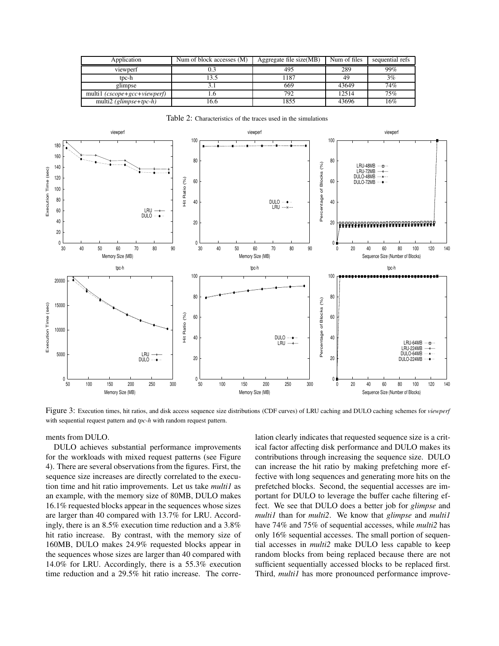| Application                             | Num of block accesses (M) | Aggregate file size(MB) | Num of files | sequential refs |
|-----------------------------------------|---------------------------|-------------------------|--------------|-----------------|
| viewperf                                |                           | 495                     | 289          | 99%             |
| tpc-h                                   | l 3.5                     | 1187                    | 49           | 3%              |
| glimpse                                 |                           | 669                     | 43649        | 74%             |
| multi1 (cscope+gcc+viewperf)            | L.O                       | 792                     | 12514        | 75%             |
| multi2 $(\text{glimpse}+ \text{tpc-h})$ | 16.6                      | 1855                    | 43696        | 16%             |

Table 2: Characteristics of the traces used in the simulations



Figure 3: Execution times, hit ratios, and disk access sequence size distributions (CDF curves) of LRU caching and DULO caching schemes for *viewperf* with sequential request pattern and *tpc-h* with random request pattern.

ments from DULO.

DULO achieves substantial performance improvements for the workloads with mixed request patterns (see Figure 4). There are several observations from the figures. First, the sequence size increases are directly correlated to the execution time and hit ratio improvements. Let us take *multi1* as an example, with the memory size of 80MB, DULO makes 16.1% requested blocks appear in the sequences whose sizes are larger than 40 compared with 13.7% for LRU. Accordingly, there is an 8.5% execution time reduction and a 3.8% hit ratio increase. By contrast, with the memory size of 160MB, DULO makes 24.9% requested blocks appear in the sequences whose sizes are larger than 40 compared with 14.0% for LRU. Accordingly, there is a 55.3% execution time reduction and a 29.5% hit ratio increase. The correlation clearly indicates that requested sequence size is a critical factor affecting disk performance and DULO makes its contributions through increasing the sequence size. DULO can increase the hit ratio by making prefetching more effective with long sequences and generating more hits on the prefetched blocks. Second, the sequential accesses are important for DULO to leverage the buffer cache filtering effect. We see that DULO does a better job for *glimpse* and *multi1* than for *multi2*. We know that *glimpse* and *multi1* have 74% and 75% of sequential accesses, while *multi2* has only 16% sequential accesses. The small portion of sequential accesses in *multi2* make DULO less capable to keep random blocks from being replaced because there are not sufficient sequentially accessed blocks to be replaced first. Third, *multi1* has more pronounced performance improve-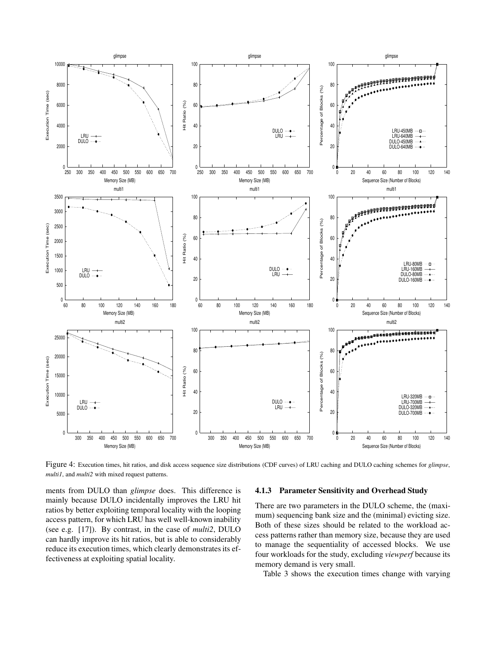

Figure 4: Execution times, hit ratios, and disk access sequence size distributions (CDF curves) of LRU caching and DULO caching schemes for *glimpse*, *multi1*, and *multi2* with mixed request patterns.

ments from DULO than *glimpse* does. This difference is mainly because DULO incidentally improves the LRU hit ratios by better exploiting temporal locality with the looping access pattern, for which LRU has well well-known inability (see e.g. [17]). By contrast, in the case of *multi2*, DULO can hardly improve its hit ratios, but is able to considerably reduce its execution times, which clearly demonstrates its effectiveness at exploiting spatial locality.

#### **4.1.3 Parameter Sensitivity and Overhead Study**

There are two parameters in the DULO scheme, the (maximum) sequencing bank size and the (minimal) evicting size. Both of these sizes should be related to the workload access patterns rather than memory size, because they are used to manage the sequentiality of accessed blocks. We use four workloads for the study, excluding *viewperf* because its memory demand is very small.

Table 3 shows the execution times change with varying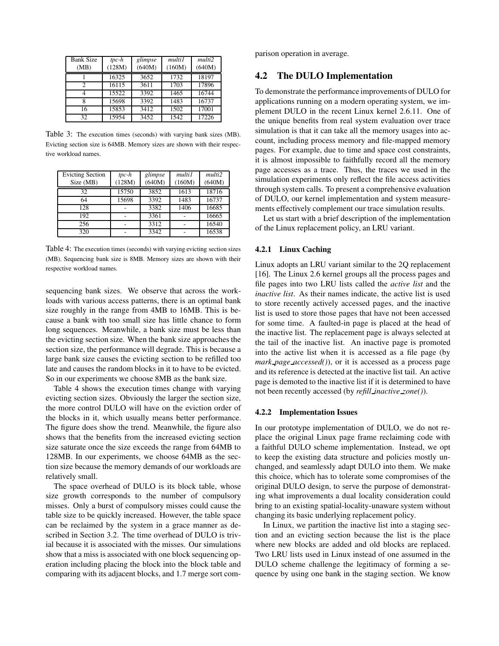| <b>Bank Size</b><br>(MB) | $tpc-h$<br>(128M) | glimpse<br>(640M) | multi1<br>(160M) | multi2<br>(640M) |
|--------------------------|-------------------|-------------------|------------------|------------------|
|                          | 16325             | 3652              | 1732             | 18197            |
| 2                        | 16115             | 3611              | 1703             | 17896            |
|                          | 15522             | 3392              | 1465             | 16744            |
| 8                        | 15698             | 3392              | 1483             | 16737            |
| 16                       | 15853             | 3412              | 1502             | 17001            |
| 32                       | 15954             | 3452              | 1542             | 17226            |

Table 3: The execution times (seconds) with varying bank sizes (MB). Evicting section size is 64MB. Memory sizes are shown with their respective workload names.

| <b>Evicting Section</b><br>Size (MB) | $tpc-h$<br>(128M) | glimpse<br>(640M) | multi1<br>(160M) | multi2<br>(640M) |
|--------------------------------------|-------------------|-------------------|------------------|------------------|
| 32                                   | 15750             | 3852              | 1613             | 18716            |
| 64                                   | 15698             | 3392              | 1483             | 16737            |
| 128                                  |                   | 3382              | 1406             | 16685            |
| 192                                  |                   | 3361              |                  | 16665            |
| 256                                  |                   | 3312              |                  | 16540            |
| 320                                  |                   | 3342              |                  | 16538            |

Table 4: The execution times (seconds) with varying evicting section sizes (MB). Sequencing bank size is 8MB. Memory sizes are shown with their respective workload names.

sequencing bank sizes. We observe that across the workloads with various access patterns, there is an optimal bank size roughly in the range from 4MB to 16MB. This is because a bank with too small size has little chance to form long sequences. Meanwhile, a bank size must be less than the evicting section size. When the bank size approaches the section size, the performance will degrade. This is because a large bank size causes the evicting section to be refilled too late and causes the random blocks in it to have to be evicted. So in our experiments we choose 8MB as the bank size.

Table 4 shows the execution times change with varying evicting section sizes. Obviously the larger the section size, the more control DULO will have on the eviction order of the blocks in it, which usually means better performance. The figure does show the trend. Meanwhile, the figure also shows that the benefits from the increased evicting section size saturate once the size exceeds the range from 64MB to 128MB. In our experiments, we choose 64MB as the section size because the memory demands of our workloads are relatively small.

The space overhead of DULO is its block table, whose size growth corresponds to the number of compulsory misses. Only a burst of compulsory misses could cause the table size to be quickly increased. However, the table space can be reclaimed by the system in a grace manner as described in Section 3.2. The time overhead of DULO is trivial because it is associated with the misses. Our simulations show that a miss is associated with one block sequencing operation including placing the block into the block table and comparing with its adjacent blocks, and 1.7 merge sort comparison operation in average.

### **4.2 The DULO Implementation**

To demonstrate the performance improvements of DULO for applications running on a modern operating system, we implement DULO in the recent Linux kernel 2.6.11. One of the unique benefits from real system evaluation over trace simulation is that it can take all the memory usages into account, including process memory and file-mapped memory pages. For example, due to time and space cost constraints, it is almost impossible to faithfully record all the memory page accesses as a trace. Thus, the traces we used in the simulation experiments only reflect the file access activities through system calls. To present a comprehensive evaluation of DULO, our kernel implementation and system measurements effectively complement our trace simulation results.

Let us start with a brief description of the implementation of the Linux replacement policy, an LRU variant.

#### **4.2.1 Linux Caching**

Linux adopts an LRU variant similar to the 2Q replacement [16]. The Linux 2.6 kernel groups all the process pages and file pages into two LRU lists called the *active list* and the *inactive list*. As their names indicate, the active list is used to store recently actively accessed pages, and the inactive list is used to store those pages that have not been accessed for some time. A faulted-in page is placed at the head of the inactive list. The replacement page is always selected at the tail of the inactive list. An inactive page is promoted into the active list when it is accessed as a file page (by *mark page accessed()*), or it is accessed as a process page and its reference is detected at the inactive list tail. An active page is demoted to the inactive list if it is determined to have not been recently accessed (by *refill inactive zone()*).

#### **4.2.2 Implementation Issues**

In our prototype implementation of DULO, we do not replace the original Linux page frame reclaiming code with a faithful DULO scheme implementation. Instead, we opt to keep the existing data structure and policies mostly unchanged, and seamlessly adapt DULO into them. We make this choice, which has to tolerate some compromises of the original DULO design, to serve the purpose of demonstrating what improvements a dual locality consideration could bring to an existing spatial-locality-unaware system without changing its basic underlying replacement policy.

In Linux, we partition the inactive list into a staging section and an evicting section because the list is the place where new blocks are added and old blocks are replaced. Two LRU lists used in Linux instead of one assumed in the DULO scheme challenge the legitimacy of forming a sequence by using one bank in the staging section. We know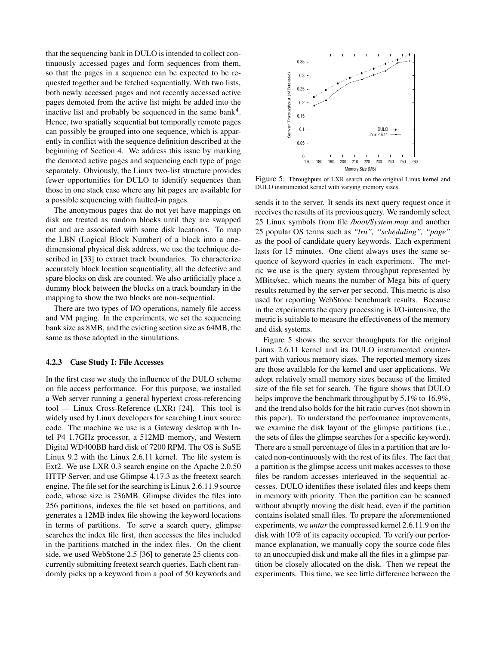that the sequencing bank in DULO is intended to collect continuously accessed pages and form sequences from them, so that the pages in a sequence can be expected to be requested together and be fetched sequentially. With two lists, both newly accessed pages and not recently accessed active pages demoted from the active list might be added into the inactive list and probably be sequenced in the same bank<sup>4</sup>. Hence, two spatially sequential but temporally remote pages can possibly be grouped into one sequence, which is apparently in conflict with the sequence definition described at the beginning of Section 4. We address this issue by marking the demoted active pages and sequencing each type of page separately. Obviously, the Linux two-list structure provides fewer opportunities for DULO to identify sequences than those in one stack case where any hit pages are available for a possible sequencing with faulted-in pages.

The anonymous pages that do not yet have mappings on disk are treated as random blocks until they are swapped out and are associated with some disk locations. To map the LBN (Logical Block Number) of a block into a onedimensional physical disk address, we use the technique described in [33] to extract track boundaries. To characterize accurately block location sequentiality, all the defective and spare blocks on disk are counted. We also artificially place a dummy block between the blocks on a track boundary in the mapping to show the two blocks are non-sequential.

There are two types of I/O operations, namely file access and VM paging. In the experiments, we set the sequencing bank size as 8MB, and the evicting section size as 64MB, the same as those adopted in the simulations.

#### **4.2.3 Case Study I: File Accesses**

In the first case we study the influence of the DULO scheme on file access performance. For this purpose, we installed a Web server running a general hypertext cross-referencing tool — Linux Cross-Reference (LXR) [24]. This tool is widely used by Linux developers for searching Linux source code. The machine we use is a Gateway desktop with Intel P4 1.7GHz processor, a 512MB memory, and Western Digital WD400BB hard disk of 7200 RPM. The OS is SuSE Linux 9.2 with the Linux 2.6.11 kernel. The file system is Ext2. We use LXR 0.3 search engine on the Apache 2.0.50 HTTP Server, and use Glimpse 4.17.3 as the freetext search engine. The file set for the searching is Linux 2.6.11.9 source code, whose size is 236MB. Glimpse divides the files into 256 partitions, indexes the file set based on partitions, and generates a 12MB index file showing the keyword locations in terms of partitions. To serve a search query, glimpse searches the index file first, then accesses the files included in the partitions matched in the index files. On the client side, we used WebStone 2.5 [36] to generate 25 clients concurrently submitting freetext search queries. Each client randomly picks up a keyword from a pool of 50 keywords and



Figure 5: Throughputs of LXR search on the original Linux kernel and DULO instrumented kernel with varying memory sizes.

sends it to the server. It sends its next query request once it receives the results of its previous query. We randomly select 25 Linux symbols from file */boot/System.map* and another 25 popular OS terms such as *"lru", "scheduling", "page"* as the pool of candidate query keywords. Each experiment lasts for 15 minutes. One client always uses the same sequence of keyword queries in each experiment. The metric we use is the query system throughput represented by MBits/sec, which means the number of Mega bits of query results returned by the server per second. This metric is also used for reporting WebStone benchmark results. Because in the experiments the query processing is I/O-intensive, the metric is suitable to measure the effectiveness of the memory and disk systems.

Figure 5 shows the server throughputs for the original Linux 2.6.11 kernel and its DULO instrumented counterpart with various memory sizes. The reported memory sizes are those available for the kernel and user applications. We adopt relatively small memory sizes because of the limited size of the file set for search. The figure shows that DULO helps improve the benchmark throughput by 5.1% to 16.9%, and the trend also holds for the hit ratio curves (not shown in this paper). To understand the performance improvements, we examine the disk layout of the glimpse partitions (i.e., the sets of files the glimpse searches for a specific keyword). There are a small percentage of files in a partition that are located non-continuously with the rest of its files. The fact that a partition is the glimpse access unit makes accesses to those files be random accesses interleaved in the sequential accesses. DULO identifies these isolated files and keeps them in memory with priority. Then the partition can be scanned without abruptly moving the disk head, even if the partition contains isolated small files. To prepare the aforementioned experiments, we *untar* the compressed kernel 2.6.11.9 on the disk with 10% of its capacity occupied. To verify our performance explanation, we manually copy the source code files to an unoccupied disk and make all the files in a glimpse partition be closely allocated on the disk. Then we repeat the experiments. This time, we see little difference between the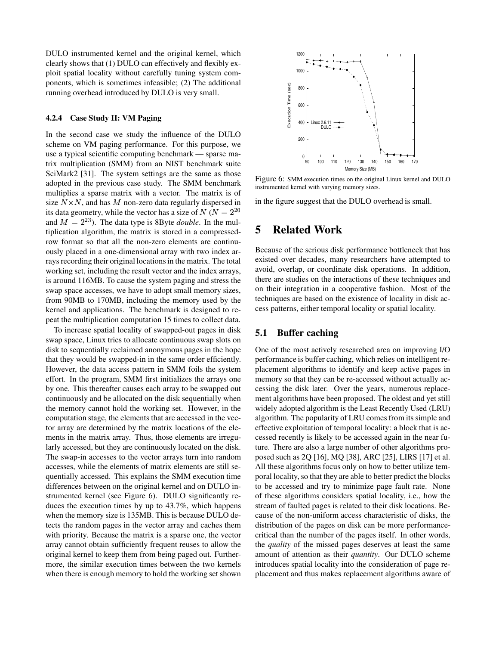DULO instrumented kernel and the original kernel, which clearly shows that (1) DULO can effectively and flexibly exploit spatial locality without carefully tuning system components, which is sometimes infeasible; (2) The additional running overhead introduced by DULO is very small.

#### **4.2.4 Case Study II: VM Paging**

In the second case we study the influence of the DULO scheme on VM paging performance. For this purpose, we use a typical scientific computing benchmark — sparse matrix multiplication (SMM) from an NIST benchmark suite SciMark2 [31]. The system settings are the same as those adopted in the previous case study. The SMM benchmark multiplies a sparse matrix with a vector. The matrix is of size  $N \times N$ , and has M non-zero data regularly dispersed in its data geometry, while the vector has a size of  $N (N = 2^{20}$ and  $M = 2^{23}$ ). The data type is 8Byte *double*. In the multiplication algorithm, the matrix is stored in a compressedrow format so that all the non-zero elements are continuously placed in a one-dimensional array with two index arrays recording their original locations in the matrix. The total working set, including the result vector and the index arrays, is around 116MB. To cause the system paging and stress the swap space accesses, we have to adopt small memory sizes, from 90MB to 170MB, including the memory used by the kernel and applications. The benchmark is designed to repeat the multiplication computation 15 times to collect data.

To increase spatial locality of swapped-out pages in disk swap space, Linux tries to allocate continuous swap slots on disk to sequentially reclaimed anonymous pages in the hope that they would be swapped-in in the same order efficiently. However, the data access pattern in SMM foils the system effort. In the program, SMM first initializes the arrays one by one. This thereafter causes each array to be swapped out continuously and be allocated on the disk sequentially when the memory cannot hold the working set. However, in the computation stage, the elements that are accessed in the vector array are determined by the matrix locations of the elements in the matrix array. Thus, those elements are irregularly accessed, but they are continuously located on the disk. The swap-in accesses to the vector arrays turn into random accesses, while the elements of matrix elements are still sequentially accessed. This explains the SMM execution time differences between on the original kernel and on DULO instrumented kernel (see Figure 6). DULO significantly reduces the execution times by up to 43.7%, which happens when the memory size is 135MB. This is because DULO detects the random pages in the vector array and caches them with priority. Because the matrix is a sparse one, the vector array cannot obtain sufficiently frequent reuses to allow the original kernel to keep them from being paged out. Furthermore, the similar execution times between the two kernels when there is enough memory to hold the working set shown



Figure 6: SMM execution times on the original Linux kernel and DULO instrumented kernel with varying memory sizes.

in the figure suggest that the DULO overhead is small.

## **5 Related Work**

Because of the serious disk performance bottleneck that has existed over decades, many researchers have attempted to avoid, overlap, or coordinate disk operations. In addition, there are studies on the interactions of these techniques and on their integration in a cooperative fashion. Most of the techniques are based on the existence of locality in disk access patterns, either temporal locality or spatial locality.

### **5.1 Buffer caching**

One of the most actively researched area on improving I/O performance is buffer caching, which relies on intelligent replacement algorithms to identify and keep active pages in memory so that they can be re-accessed without actually accessing the disk later. Over the years, numerous replacement algorithms have been proposed. The oldest and yet still widely adopted algorithm is the Least Recently Used (LRU) algorithm. The popularity of LRU comes from its simple and effective exploitation of temporal locality: a block that is accessed recently is likely to be accessed again in the near future. There are also a large number of other algorithms proposed such as 2Q [16], MQ [38], ARC [25], LIRS [17] et al. All these algorithms focus only on how to better utilize temporal locality, so that they are able to better predict the blocks to be accessed and try to minimize page fault rate. None of these algorithms considers spatial locality, i.e., how the stream of faulted pages is related to their disk locations. Because of the non-uniform access characteristic of disks, the distribution of the pages on disk can be more performancecritical than the number of the pages itself. In other words, the *quality* of the missed pages deserves at least the same amount of attention as their *quantity*. Our DULO scheme introduces spatial locality into the consideration of page replacement and thus makes replacement algorithms aware of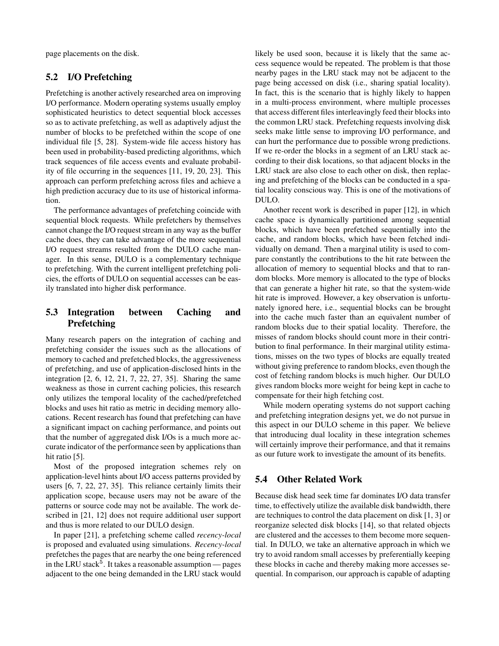page placements on the disk.

### **5.2 I/O Prefetching**

Prefetching is another actively researched area on improving I/O performance. Modern operating systems usually employ sophisticated heuristics to detect sequential block accesses so as to activate prefetching, as well as adaptively adjust the number of blocks to be prefetched within the scope of one individual file [5, 28]. System-wide file access history has been used in probability-based predicting algorithms, which track sequences of file access events and evaluate probability of file occurring in the sequences [11, 19, 20, 23]. This approach can perform prefetching across files and achieve a high prediction accuracy due to its use of historical information.

The performance advantages of prefetching coincide with sequential block requests. While prefetchers by themselves cannot change the I/O request stream in any way as the buffer cache does, they can take advantage of the more sequential I/O request streams resulted from the DULO cache manager. In this sense, DULO is a complementary technique to prefetching. With the current intelligent prefetching policies, the efforts of DULO on sequential accesses can be easily translated into higher disk performance.

### **5.3 Integration between Caching and Prefetching**

Many research papers on the integration of caching and prefetching consider the issues such as the allocations of memory to cached and prefetched blocks, the aggressiveness of prefetching, and use of application-disclosed hints in the integration [2, 6, 12, 21, 7, 22, 27, 35]. Sharing the same weakness as those in current caching policies, this research only utilizes the temporal locality of the cached/prefetched blocks and uses hit ratio as metric in deciding memory allocations. Recent research has found that prefetching can have a significant impact on caching performance, and points out that the number of aggregated disk I/Os is a much more accurate indicator of the performance seen by applicationsthan hit ratio [5].

Most of the proposed integration schemes rely on application-level hints about I/O access patterns provided by users [6, 7, 22, 27, 35]. This reliance certainly limits their application scope, because users may not be aware of the patterns or source code may not be available. The work described in [21, 12] does not require additional user support and thus is more related to our DULO design.

In paper [21], a prefetching scheme called *recency-local* is proposed and evaluated using simulations. *Recency-local* prefetches the pages that are nearby the one being referenced in the LRU stack<sup>5</sup>. It takes a reasonable assumption — pages adjacent to the one being demanded in the LRU stack would likely be used soon, because it is likely that the same access sequence would be repeated. The problem is that those nearby pages in the LRU stack may not be adjacent to the page being accessed on disk (i.e., sharing spatial locality). In fact, this is the scenario that is highly likely to happen in a multi-process environment, where multiple processes that access different files interleavingly feed their blocks into the common LRU stack. Prefetching requests involving disk seeks make little sense to improving I/O performance, and can hurt the performance due to possible wrong predictions. If we re-order the blocks in a segment of an LRU stack according to their disk locations, so that adjacent blocks in the LRU stack are also close to each other on disk, then replacing and prefetching of the blocks can be conducted in a spatial locality conscious way. This is one of the motivations of DULO.

Another recent work is described in paper [12], in which cache space is dynamically partitioned among sequential blocks, which have been prefetched sequentially into the cache, and random blocks, which have been fetched individually on demand. Then a marginal utility is used to compare constantly the contributions to the hit rate between the allocation of memory to sequential blocks and that to random blocks. More memory is allocated to the type of blocks that can generate a higher hit rate, so that the system-wide hit rate is improved. However, a key observation is unfortunately ignored here, i.e., sequential blocks can be brought into the cache much faster than an equivalent number of random blocks due to their spatial locality. Therefore, the misses of random blocks should count more in their contribution to final performance. In their marginal utility estimations, misses on the two types of blocks are equally treated without giving preference to random blocks, even though the cost of fetching random blocks is much higher. Our DULO gives random blocks more weight for being kept in cache to compensate for their high fetching cost.

While modern operating systems do not support caching and prefetching integration designs yet, we do not pursue in this aspect in our DULO scheme in this paper. We believe that introducing dual locality in these integration schemes will certainly improve their performance, and that it remains as our future work to investigate the amount of its benefits.

### **5.4 Other Related Work**

Because disk head seek time far dominates I/O data transfer time, to effectively utilize the available disk bandwidth, there are techniques to control the data placement on disk [1, 3] or reorganize selected disk blocks [14], so that related objects are clustered and the accesses to them become more sequential. In DULO, we take an alternative approach in which we try to avoid random small accesses by preferentially keeping these blocks in cache and thereby making more accesses sequential. In comparison, our approach is capable of adapting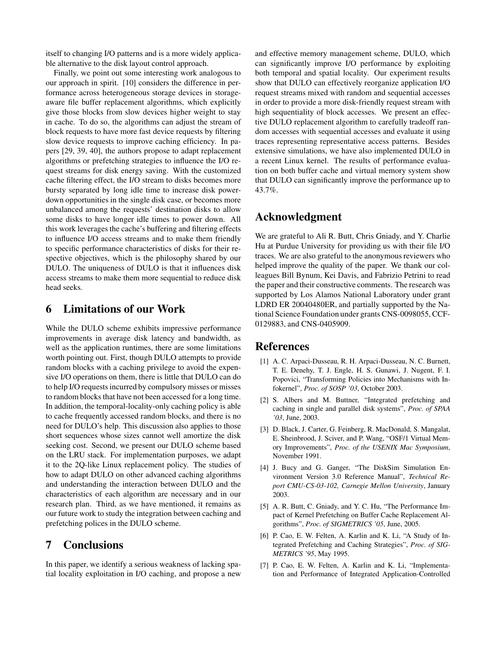itself to changing I/O patterns and is a more widely applicable alternative to the disk layout control approach.

Finally, we point out some interesting work analogous to our approach in spirit. [10] considers the difference in performance across heterogeneous storage devices in storageaware file buffer replacement algorithms, which explicitly give those blocks from slow devices higher weight to stay in cache. To do so, the algorithms can adjust the stream of block requests to have more fast device requests by filtering slow device requests to improve caching efficiency. In papers [29, 39, 40], the authors propose to adapt replacement algorithms or prefetching strategies to influence the I/O request streams for disk energy saving. With the customized cache filtering effect, the I/O stream to disks becomes more bursty separated by long idle time to increase disk powerdown opportunities in the single disk case, or becomes more unbalanced among the requests' destination disks to allow some disks to have longer idle times to power down. All this work leverages the cache's buffering and filtering effects to influence I/O access streams and to make them friendly to specific performance characteristics of disks for their respective objectives, which is the philosophy shared by our DULO. The uniqueness of DULO is that it influences disk access streams to make them more sequential to reduce disk head seeks.

## **6 Limitations of our Work**

While the DULO scheme exhibits impressive performance improvements in average disk latency and bandwidth, as well as the application runtimes, there are some limitations worth pointing out. First, though DULO attempts to provide random blocks with a caching privilege to avoid the expensive I/O operations on them, there is little that DULO can do to help I/O requestsincurred by compulsory misses or misses to random blocks that have not been accessed for a long time. In addition, the temporal-locality-only caching policy is able to cache frequently accessed random blocks, and there is no need for DULO's help. This discussion also applies to those short sequences whose sizes cannot well amortize the disk seeking cost. Second, we present our DULO scheme based on the LRU stack. For implementation purposes, we adapt it to the 2Q-like Linux replacement policy. The studies of how to adapt DULO on other advanced caching algorithms and understanding the interaction between DULO and the characteristics of each algorithm are necessary and in our research plan. Third, as we have mentioned, it remains as our future work to study the integration between caching and prefetching polices in the DULO scheme.

## **7 Conclusions**

In this paper, we identify a serious weakness of lacking spatial locality exploitation in I/O caching, and propose a new

and effective memory management scheme, DULO, which can significantly improve I/O performance by exploiting both temporal and spatial locality. Our experiment results show that DULO can effectively reorganize application I/O request streams mixed with random and sequential accesses in order to provide a more disk-friendly request stream with high sequentiality of block accesses. We present an effective DULO replacement algorithm to carefully tradeoff random accesses with sequential accesses and evaluate it using traces representing representative access patterns. Besides extensive simulations, we have also implemented DULO in a recent Linux kernel. The results of performance evaluation on both buffer cache and virtual memory system show that DULO can significantly improve the performance up to 43.7%.

## **Acknowledgment**

We are grateful to Ali R. Butt, Chris Gniady, and Y. Charlie Hu at Purdue University for providing us with their file I/O traces. We are also grateful to the anonymous reviewers who helped improve the quality of the paper. We thank our colleagues Bill Bynum, Kei Davis, and Fabrizio Petrini to read the paper and their constructive comments. The research was supported by Los Alamos National Laboratory under grant LDRD ER 20040480ER, and partially supported by the National Science Foundation under grants CNS-0098055, CCF-0129883, and CNS-0405909.

## **References**

- [1] A. C. Arpaci-Dusseau, R. H. Arpaci-Dusseau, N. C. Burnett, T. E. Denehy, T. J. Engle, H. S. Gunawi, J. Nugent, F. I. Popovici, "Transforming Policies into Mechanisms with Infokernel", *Proc. of SOSP '03*, October 2003.
- [2] S. Albers and M. Buttner, "Integrated prefetching and caching in single and parallel disk systems", *Proc. of SPAA '03*, June, 2003.
- [3] D. Black, J. Carter, G. Feinberg, R. MacDonald, S. Mangalat, E. Sheinbrood, J. Sciver, and P. Wang, "OSF/1 Virtual Memory Improvements", *Proc. of the USENIX Mac Symposium*, November 1991.
- [4] J. Bucy and G. Ganger, "The DiskSim Simulation Environment Version 3.0 Reference Manual", *Technical Report CMU-CS-03-102, Carnegie Mellon University*, January 2003.
- [5] A. R. Butt, C. Gniady, and Y. C. Hu, "The Performance Impact of Kernel Prefetching on Buffer Cache Replacement Algorithms", *Proc. of SIGMETRICS '05*, June, 2005.
- [6] P. Cao, E. W. Felten, A. Karlin and K. Li, "A Study of Integrated Prefetching and Caching Strategies", *Proc. of SIG-METRICS '95*, May 1995.
- [7] P. Cao, E. W. Felten, A. Karlin and K. Li, "Implementation and Performance of Integrated Application-Controlled